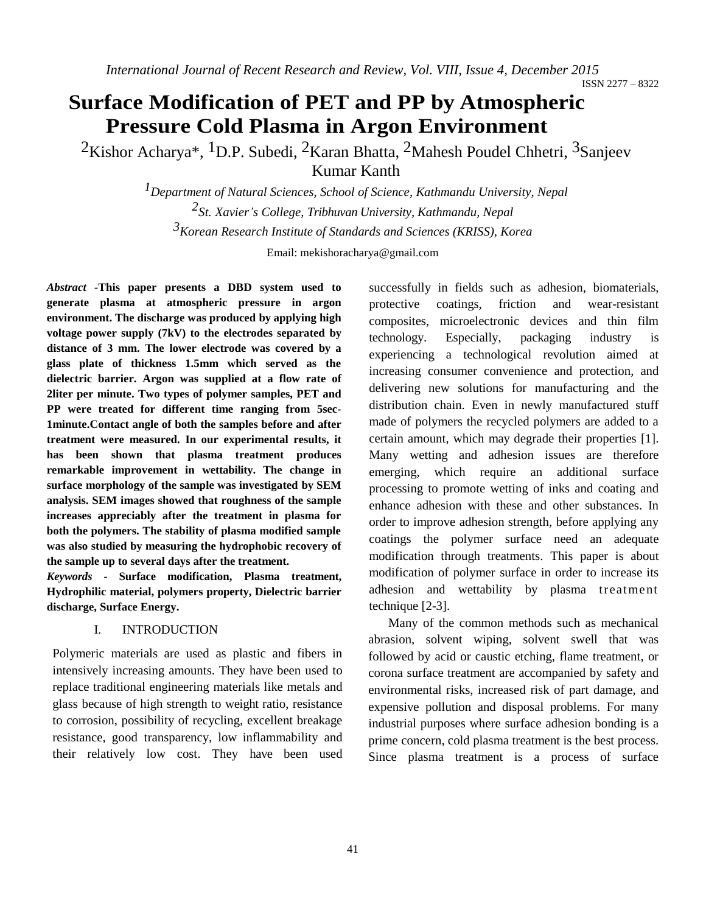ISSN 2277 – 8322

# **Surface Modification of PET and PP by Atmospheric Pressure Cold Plasma in Argon Environment**

<sup>2</sup>Kishor Acharya<sup>\*</sup>, <sup>1</sup>D.P. Subedi, <sup>2</sup>Karan Bhatta, <sup>2</sup>Mahesh Poudel Chhetri, <sup>3</sup>Sanjeev Kumar Kanth

> *1Department of Natural Sciences, School of Science, Kathmandu University, Nepal 2 St. Xavier's College, Tribhuvan University, Kathmandu, Nepal 3Korean Research Institute of Standards and Sciences (KRISS), Korea*

> > Email: mekishoracharya@gmail.com

*Abstract -***This paper presents a DBD system used to generate plasma at atmospheric pressure in argon environment. The discharge was produced by applying high voltage power supply (7kV) to the electrodes separated by distance of 3 mm. The lower electrode was covered by a glass plate of thickness 1.5mm which served as the dielectric barrier. Argon was supplied at a flow rate of 2liter per minute. Two types of polymer samples, PET and PP were treated for different time ranging from 5sec-1minute.Contact angle of both the samples before and after treatment were measured. In our experimental results, it has been shown that plasma treatment produces remarkable improvement in wettability. The change in surface morphology of the sample was investigated by SEM analysis. SEM images showed that roughness of the sample increases appreciably after the treatment in plasma for both the polymers. The stability of plasma modified sample was also studied by measuring the hydrophobic recovery of the sample up to several days after the treatment.**

*Keywords -* **Surface modification, Plasma treatment, Hydrophilic material, polymers property, Dielectric barrier discharge, Surface Energy.**

## I. INTRODUCTION

Polymeric materials are used as plastic and fibers in intensively increasing amounts. They have been used to replace traditional engineering materials like metals and glass because of high strength to weight ratio, resistance to corrosion, possibility of recycling, excellent breakage resistance, good transparency, low inflammability and their relatively low cost. They have been used

successfully in fields such as adhesion, biomaterials, protective coatings, friction and wear-resistant composites, microelectronic devices and thin film technology. Especially, packaging industry is experiencing a technological revolution aimed at increasing consumer convenience and protection, and delivering new solutions for manufacturing and the distribution chain. Even in newly manufactured stuff made of polymers the recycled polymers are added to a certain amount, which may degrade their properties [1]. Many wetting and adhesion issues are therefore emerging, which require an additional surface processing to promote wetting of inks and coating and enhance adhesion with these and other substances. In order to improve adhesion strength, before applying any coatings the polymer surface need an adequate modification through treatments. This paper is about modification of polymer surface in order to increase its adhesion and wettability by plasma treatment technique [2-3].

Many of the common methods such as mechanical abrasion, solvent wiping, solvent swell that was followed by acid or caustic etching, flame treatment, or corona surface treatment are accompanied by safety and environmental risks, increased risk of part damage, and expensive pollution and disposal problems. For many industrial purposes where surface adhesion bonding is a prime concern, cold plasma treatment is the best process. Since plasma treatment is a process of surface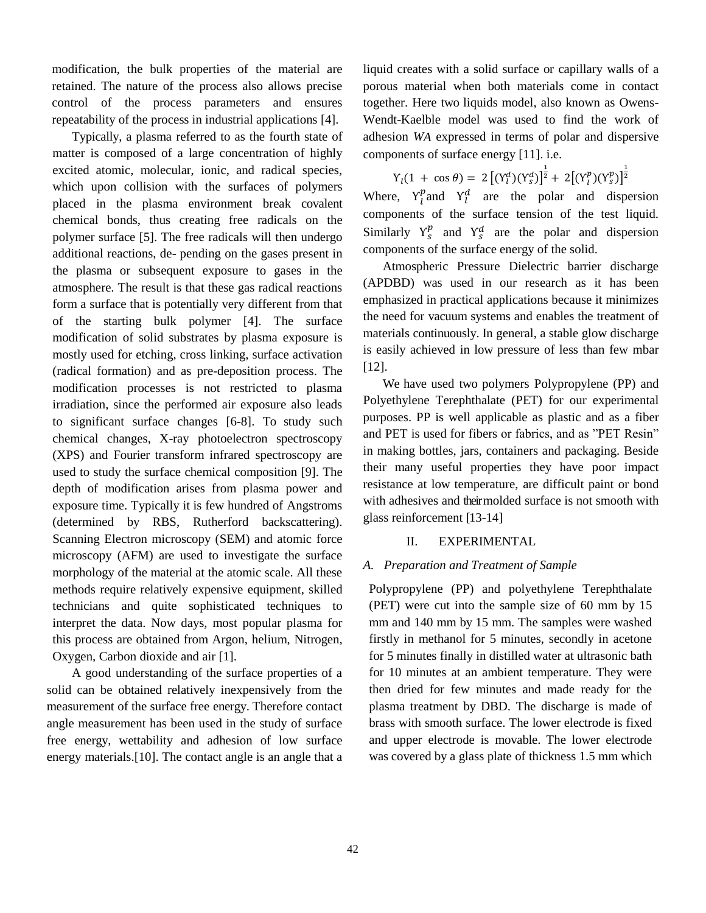modification, the bulk properties of the material are retained. The nature of the process also allows precise control of the process parameters and ensures repeatability of the process in industrial applications [4].

Typically, a plasma referred to as the fourth state of matter is composed of a large concentration of highly excited atomic, molecular, ionic, and radical species, which upon collision with the surfaces of polymers placed in the plasma environment break covalent chemical bonds, thus creating free radicals on the polymer surface [5]. The free radicals will then undergo additional reactions, de- pending on the gases present in the plasma or subsequent exposure to gases in the atmosphere. The result is that these gas radical reactions form a surface that is potentially very different from that of the starting bulk polymer [4]. The surface modification of solid substrates by plasma exposure is mostly used for etching, cross linking, surface activation (radical formation) and as pre-deposition process. The modification processes is not restricted to plasma irradiation, since the performed air exposure also leads to significant surface changes [6-8]. To study such chemical changes, X-ray photoelectron spectroscopy (XPS) and Fourier transform infrared spectroscopy are used to study the surface chemical composition [9]. The depth of modification arises from plasma power and exposure time. Typically it is few hundred of Angstroms (determined by RBS, Rutherford backscattering). Scanning Electron microscopy (SEM) and atomic force microscopy (AFM) are used to investigate the surface morphology of the material at the atomic scale. All these methods require relatively expensive equipment, skilled technicians and quite sophisticated techniques to interpret the data. Now days, most popular plasma for this process are obtained from Argon, helium, Nitrogen, Oxygen, Carbon dioxide and air [1].

A good understanding of the surface properties of a solid can be obtained relatively inexpensively from the measurement of the surface free energy. Therefore contact angle measurement has been used in the study of surface free energy, wettability and adhesion of low surface energy materials.[10]. The contact angle is an angle that a liquid creates with a solid surface or capillary walls of a porous material when both materials come in contact together. Here two liquids model, also known as Owens-Wendt-Kaelble model was used to find the work of adhesion *WA* expressed in terms of polar and dispersive components of surface energy [11]. i.e.

$$
Y_{l}(1 + \cos \theta) = 2 [(Y_{l}^{d})(Y_{s}^{d})]^{\frac{1}{2}} + 2 [(Y_{l}^{p})(Y_{s}^{p})]^{\frac{1}{2}}
$$

Where,  $Y_l^p$  and  $Y_l^d$  are the polar and dispersion components of the surface tension of the test liquid. Similarly  $Y_s^p$  and  $Y_s^d$  are the polar and dispersion components of the surface energy of the solid.

Atmospheric Pressure Dielectric barrier discharge (APDBD) was used in our research as it has been emphasized in practical applications because it minimizes the need for vacuum systems and enables the treatment of materials continuously. In general, a stable glow discharge is easily achieved in low pressure of less than few mbar [12].

We have used two polymers Polypropylene (PP) and Polyethylene Terephthalate (PET) for our experimental purposes. PP is well applicable as plastic and as a fiber and PET is used for fibers or fabrics, and as "PET Resin" in making bottles, jars, containers and packaging. Beside their many useful properties they have poor impact resistance at low temperature, are difficult paint or bond with adhesives and their molded surface is not smooth with glass reinforcement [13-14]

# II. EXPERIMENTAL

# *A. Preparation and Treatment of Sample*

Polypropylene (PP) and polyethylene Terephthalate (PET) were cut into the sample size of 60 mm by 15 mm and 140 mm by 15 mm. The samples were washed firstly in methanol for 5 minutes, secondly in acetone for 5 minutes finally in distilled water at ultrasonic bath for 10 minutes at an ambient temperature. They were then dried for few minutes and made ready for the plasma treatment by DBD. The discharge is made of brass with smooth surface. The lower electrode is fixed and upper electrode is movable. The lower electrode was covered by a glass plate of thickness 1.5 mm which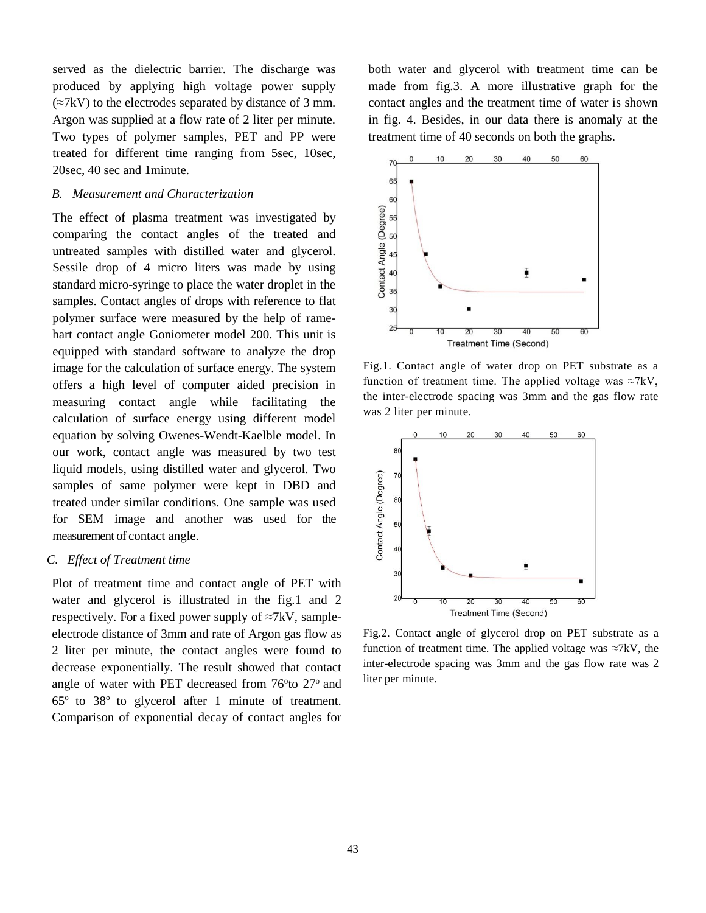served as the dielectric barrier. The discharge was produced by applying high voltage power supply (*≈*7kV) to the electrodes separated by distance of 3 mm. Argon was supplied at a flow rate of 2 liter per minute. Two types of polymer samples, PET and PP were treated for different time ranging from 5sec, 10sec, 20sec, 40 sec and 1minute.

## *B. Measurement and Characterization*

The effect of plasma treatment was investigated by comparing the contact angles of the treated and untreated samples with distilled water and glycerol. Sessile drop of 4 micro liters was made by using standard micro-syringe to place the water droplet in the samples. Contact angles of drops with reference to flat polymer surface were measured by the help of ramehart contact angle Goniometer model 200. This unit is equipped with standard software to analyze the drop image for the calculation of surface energy. The system offers a high level of computer aided precision in measuring contact angle while facilitating the calculation of surface energy using different model equation by solving Owenes-Wendt-Kaelble model. In our work, contact angle was measured by two test liquid models, using distilled water and glycerol. Two samples of same polymer were kept in DBD and treated under similar conditions. One sample was used for SEM image and another was used for the measurement of contact angle.

#### *C. Effect of Treatment time*

Plot of treatment time and contact angle of PET with water and glycerol is illustrated in the fig.1 and 2 respectively. For a fixed power supply of *≈*7kV, sampleelectrode distance of 3mm and rate of Argon gas flow as 2 liter per minute, the contact angles were found to decrease exponentially. The result showed that contact angle of water with PET decreased from  $76^{\circ}$ to  $27^{\circ}$  and  $65^{\circ}$  to  $38^{\circ}$  to glycerol after 1 minute of treatment. Comparison of exponential decay of contact angles for

both water and glycerol with treatment time can be made from fig.3. A more illustrative graph for the contact angles and the treatment time of water is shown in fig. 4. Besides, in our data there is anomaly at the treatment time of 40 seconds on both the graphs.



Fig.1. Contact angle of water drop on PET substrate as a function of treatment time. The applied voltage was  $\approx$ 7kV, the inter-electrode spacing was 3mm and the gas flow rate was 2 liter per minute.



Fig.2. Contact angle of glycerol drop on PET substrate as a function of treatment time. The applied voltage was *≈*7kV, the inter-electrode spacing was 3mm and the gas flow rate was 2 liter per minute.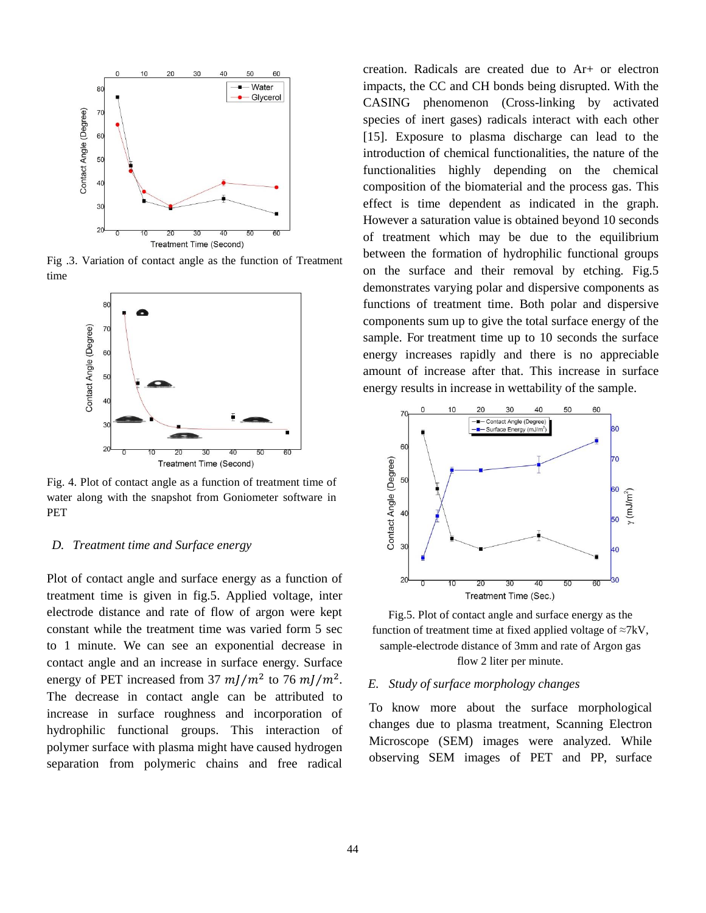

Fig .3. Variation of contact angle as the function of Treatment time



Fig. 4. Plot of contact angle as a function of treatment time of water along with the snapshot from Goniometer software in PET

## *D. Treatment time and Surface energy*

Plot of contact angle and surface energy as a function of treatment time is given in fig.5. Applied voltage, inter electrode distance and rate of flow of argon were kept constant while the treatment time was varied form 5 sec to 1 minute. We can see an exponential decrease in contact angle and an increase in surface energy. Surface energy of PET increased from 37  $mJ/m^2$  to 76  $mJ/m^2$ . The decrease in contact angle can be attributed to increase in surface roughness and incorporation of hydrophilic functional groups. This interaction of polymer surface with plasma might have caused hydrogen separation from polymeric chains and free radical creation. Radicals are created due to Ar+ or electron impacts, the CC and CH bonds being disrupted. With the CASING phenomenon (Cross-linking by activated species of inert gases) radicals interact with each other [15]. Exposure to plasma discharge can lead to the introduction of chemical functionalities, the nature of the functionalities highly depending on the chemical composition of the biomaterial and the process gas. This effect is time dependent as indicated in the graph. However a saturation value is obtained beyond 10 seconds of treatment which may be due to the equilibrium between the formation of hydrophilic functional groups on the surface and their removal by etching. Fig.5 demonstrates varying polar and dispersive components as functions of treatment time. Both polar and dispersive components sum up to give the total surface energy of the sample. For treatment time up to 10 seconds the surface energy increases rapidly and there is no appreciable amount of increase after that. This increase in surface energy results in increase in wettability of the sample.



Fig.5. Plot of contact angle and surface energy as the function of treatment time at fixed applied voltage of *≈*7kV, sample-electrode distance of 3mm and rate of Argon gas flow 2 liter per minute.

#### *E. Study of surface morphology changes*

To know more about the surface morphological changes due to plasma treatment, Scanning Electron Microscope (SEM) images were analyzed. While observing SEM images of PET and PP, surface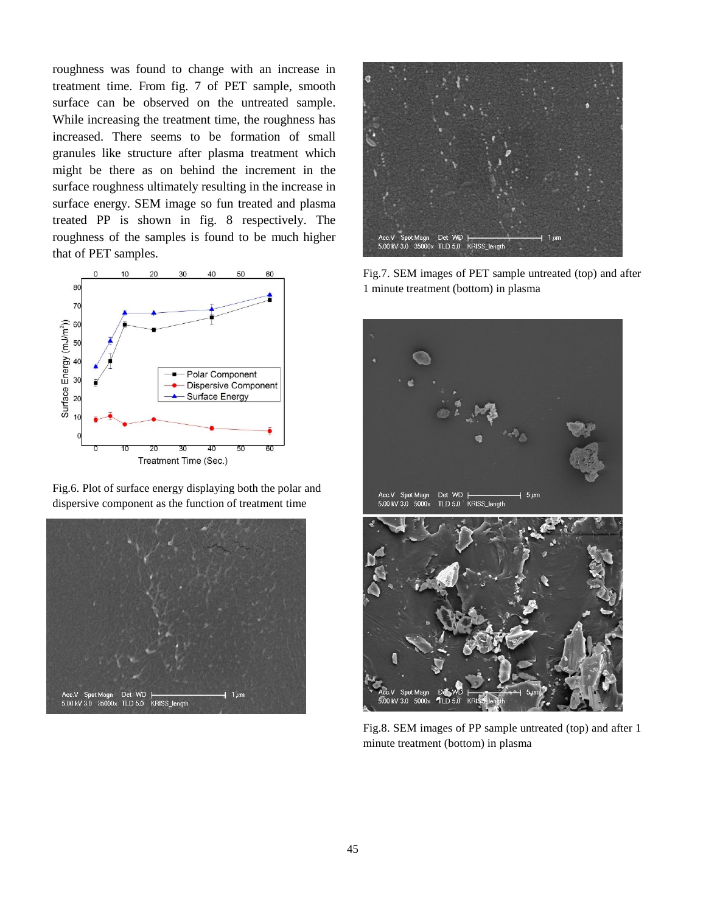roughness was found to change with an increase in treatment time. From fig. 7 of PET sample, smooth surface can be observed on the untreated sample. While increasing the treatment time, the roughness has increased. There seems to be formation of small granules like structure after plasma treatment which might be there as on behind the increment in the surface roughness ultimately resulting in the increase in surface energy. SEM image so fun treated and plasma treated PP is shown in fig. 8 respectively. The roughness of the samples is found to be much higher that of PET samples.



Fig.6. Plot of surface energy displaying both the polar and dispersive component as the function of treatment time





Fig.7. SEM images of PET sample untreated (top) and after 1 minute treatment (bottom) in plasma



Fig.8. SEM images of PP sample untreated (top) and after 1 minute treatment (bottom) in plasma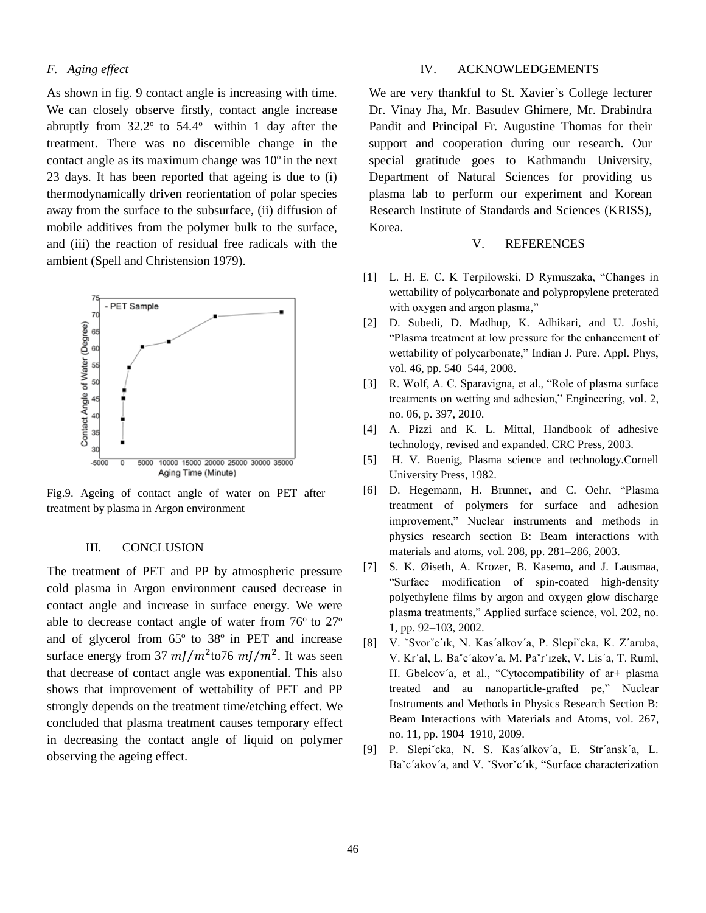# *F. Aging effect*

As shown in fig. 9 contact angle is increasing with time. We can closely observe firstly, contact angle increase abruptly from  $32.2^{\circ}$  to  $54.4^{\circ}$  within 1 day after the treatment. There was no discernible change in the contact angle as its maximum change was  $10^{\circ}$  in the next 23 days. It has been reported that ageing is due to (i) thermodynamically driven reorientation of polar species away from the surface to the subsurface, (ii) diffusion of mobile additives from the polymer bulk to the surface, and (iii) the reaction of residual free radicals with the ambient (Spell and Christension 1979).



Fig.9. Ageing of contact angle of water on PET after treatment by plasma in Argon environment

## III. CONCLUSION

The treatment of PET and PP by atmospheric pressure cold plasma in Argon environment caused decrease in contact angle and increase in surface energy. We were able to decrease contact angle of water from  $76^{\circ}$  to  $27^{\circ}$ and of glycerol from  $65^\circ$  to  $38^\circ$  in PET and increase surface energy from 37  $m/m^2$  to 76  $m/m^2$ . It was seen that decrease of contact angle was exponential. This also shows that improvement of wettability of PET and PP strongly depends on the treatment time/etching effect. We concluded that plasma treatment causes temporary effect in decreasing the contact angle of liquid on polymer observing the ageing effect.

# IV. ACKNOWLEDGEMENTS

We are very thankful to St. Xavier's College lecturer Dr. Vinay Jha, Mr. Basudev Ghimere, Mr. Drabindra Pandit and Principal Fr. Augustine Thomas for their support and cooperation during our research. Our special gratitude goes to Kathmandu University, Department of Natural Sciences for providing us plasma lab to perform our experiment and Korean Research Institute of Standards and Sciences (KRISS), Korea.

#### V. REFERENCES

- [1] L. H. E. C. K Terpilowski, D Rymuszaka, "Changes in wettability of polycarbonate and polypropylene preterated with oxygen and argon plasma,"
- [2] D. Subedi, D. Madhup, K. Adhikari, and U. Joshi, "Plasma treatment at low pressure for the enhancement of wettability of polycarbonate," Indian J. Pure. Appl. Phys, vol. 46, pp. 540–544, 2008.
- [3] R. Wolf, A. C. Sparavigna, et al., "Role of plasma surface treatments on wetting and adhesion," Engineering, vol. 2, no. 06, p. 397, 2010.
- [4] A. Pizzi and K. L. Mittal, Handbook of adhesive technology, revised and expanded. CRC Press, 2003.
- [5] H. V. Boenig, Plasma science and technology.Cornell University Press, 1982.
- [6] D. Hegemann, H. Brunner, and C. Oehr, "Plasma treatment of polymers for surface and adhesion improvement," Nuclear instruments and methods in physics research section B: Beam interactions with materials and atoms, vol. 208, pp. 281–286, 2003.
- [7] S. K. Øiseth, A. Krozer, B. Kasemo, and J. Lausmaa, "Surface modification of spin-coated high-density polyethylene films by argon and oxygen glow discharge plasma treatments," Applied surface science, vol. 202, no. 1, pp. 92–103, 2002.
- [8] V. ˇSvorˇc´ık, N. Kas´alkov´a, P. Slepiˇcka, K. Z´aruba, V. Kr´al, L. Baˇc´akov´a, M. Paˇr´ızek, V. Lis´a, T. Ruml, H. Gbelcov´a, et al., "Cytocompatibility of ar+ plasma treated and au nanoparticle-grafted pe," Nuclear Instruments and Methods in Physics Research Section B: Beam Interactions with Materials and Atoms, vol. 267, no. 11, pp. 1904–1910, 2009.
- [9] P. Slepiˇcka, N. S. Kas´alkov´a, E. Str´ansk´a, L. Baˇc´akov´a, and V. ˇSvorˇc´ık, "Surface characterization